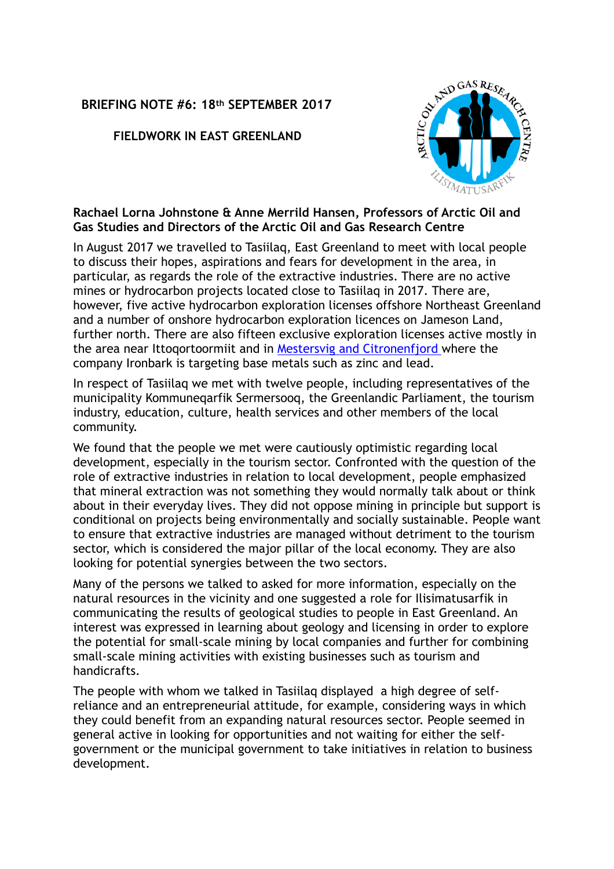## **BRIEFING NOTE #6: 18th SEPTEMBER 2017**

**FIELDWORK IN EAST GREENLAND** 



## **Rachael Lorna Johnstone & Anne Merrild Hansen, Professors of Arctic Oil and Gas Studies and Directors of the Arctic Oil and Gas Research Centre**

In August 2017 we travelled to Tasiilaq, East Greenland to meet with local people to discuss their hopes, aspirations and fears for development in the area, in particular, as regards the role of the extractive industries. There are no active mines or hydrocarbon projects located close to Tasiilaq in 2017. There are, however, five active hydrocarbon exploration licenses offshore Northeast Greenland and a number of onshore hydrocarbon exploration licences on Jameson Land, further north. There are also fifteen exclusive exploration licenses active mostly in the area near Ittoqortoormiit and in [Mestersvig and Citronenfjord](http://ironbark.gl/) where the company Ironbark is targeting base metals such as zinc and lead.

In respect of Tasiilaq we met with twelve people, including representatives of the municipality Kommuneqarfik Sermersooq, the Greenlandic Parliament, the tourism industry, education, culture, health services and other members of the local community.

We found that the people we met were cautiously optimistic regarding local development, especially in the tourism sector. Confronted with the question of the role of extractive industries in relation to local development, people emphasized that mineral extraction was not something they would normally talk about or think about in their everyday lives. They did not oppose mining in principle but support is conditional on projects being environmentally and socially sustainable. People want to ensure that extractive industries are managed without detriment to the tourism sector, which is considered the major pillar of the local economy. They are also looking for potential synergies between the two sectors.

Many of the persons we talked to asked for more information, especially on the natural resources in the vicinity and one suggested a role for Ilisimatusarfik in communicating the results of geological studies to people in East Greenland. An interest was expressed in learning about geology and licensing in order to explore the potential for small-scale mining by local companies and further for combining small-scale mining activities with existing businesses such as tourism and handicrafts.

The people with whom we talked in Tasiilaq displayed a high degree of selfreliance and an entrepreneurial attitude, for example, considering ways in which they could benefit from an expanding natural resources sector. People seemed in general active in looking for opportunities and not waiting for either the selfgovernment or the municipal government to take initiatives in relation to business development.